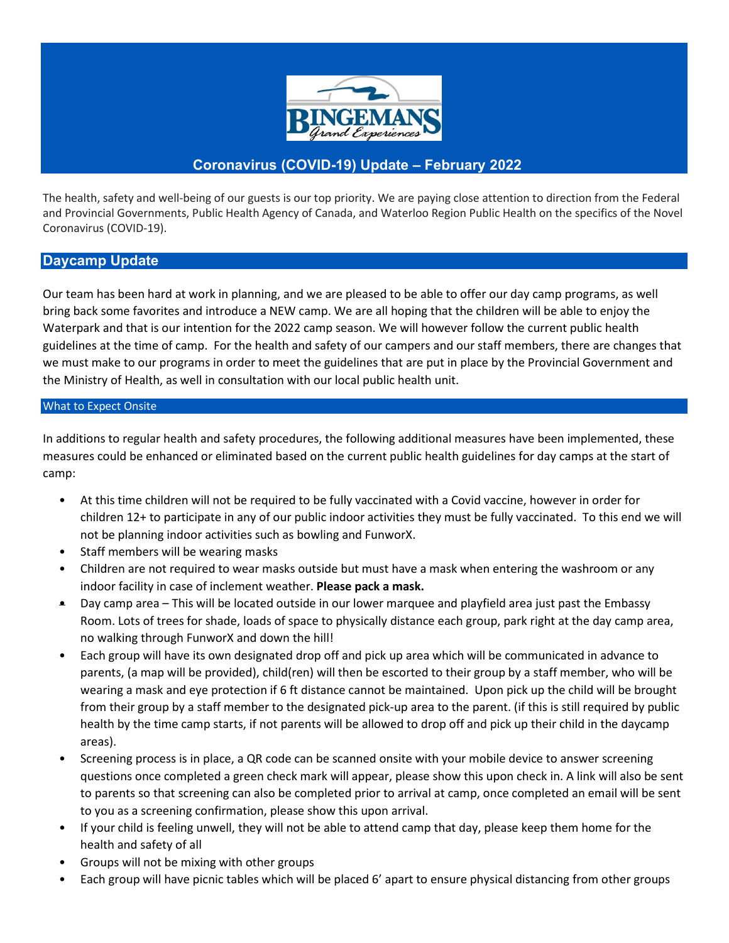

## **Coronavirus (COVID-19) Update – February 2022**

The health, safety and well-being of our guests is our top priority. We are paying close attention to direction from the Federal and Provincial Governments, Public Health Agency of Canada, and Waterloo Region Public Health on the specifics of the Novel Coronavirus (COVID-19).

## **Daycamp Update**

Our team has been hard at work in planning, and we are pleased to be able to offer our day camp programs, as well bring back some favorites and introduce a NEW camp. We are all hoping that the children will be able to enjoy the Waterpark and that is our intention for the 2022 camp season. We will however follow the current public health guidelines at the time of camp. For the health and safety of our campers and our staff members, there are changes that we must make to our programs in order to meet the guidelines that are put in place by the Provincial Government and the Ministry of Health, as well in consultation with our local public health unit.

## What to Expect Onsite

In additions to regular health and safety procedures, the following additional measures have been implemented, these measures could be enhanced or eliminated based on the current public health guidelines for day camps at the start of camp:

- At this time children will not be required to be fully vaccinated with a Covid vaccine, however in order for children 12+ to participate in any of our public indoor activities they must be fully vaccinated. To this end we will not be planning indoor activities such as bowling and FunworX.
- Staff members will be wearing masks
- Children are not required to wear masks outside but must have a mask when entering the washroom or any indoor facility in case of inclement weather. **Please pack a mask.**
- Day camp area This will be located outside in our lower marquee and playfield area just past the Embassy Room. Lots of trees for shade, loads of space to physically distance each group, park right at the day camp area, no walking through FunworX and down the hill!
- Each group will have its own designated drop off and pick up area which will be communicated in advance to parents, (a map will be provided), child(ren) will then be escorted to their group by a staff member, who will be wearing a mask and eye protection if 6 ft distance cannot be maintained. Upon pick up the child will be brought from their group by a staff member to the designated pick-up area to the parent. (if this is still required by public health by the time camp starts, if not parents will be allowed to drop off and pick up their child in the daycamp areas).
- Screening process is in place, a QR code can be scanned onsite with your mobile device to answer screening questions once completed a green check mark will appear, please show this upon check in. A link will also be sent to parents so that screening can also be completed prior to arrival at camp, once completed an email will be sent to you as a screening confirmation, please show this upon arrival.
- If your child is feeling unwell, they will not be able to attend camp that day, please keep them home for the health and safety of all
- Groups will not be mixing with other groups
- Each group will have picnic tables which will be placed 6' apart to ensure physical distancing from other groups